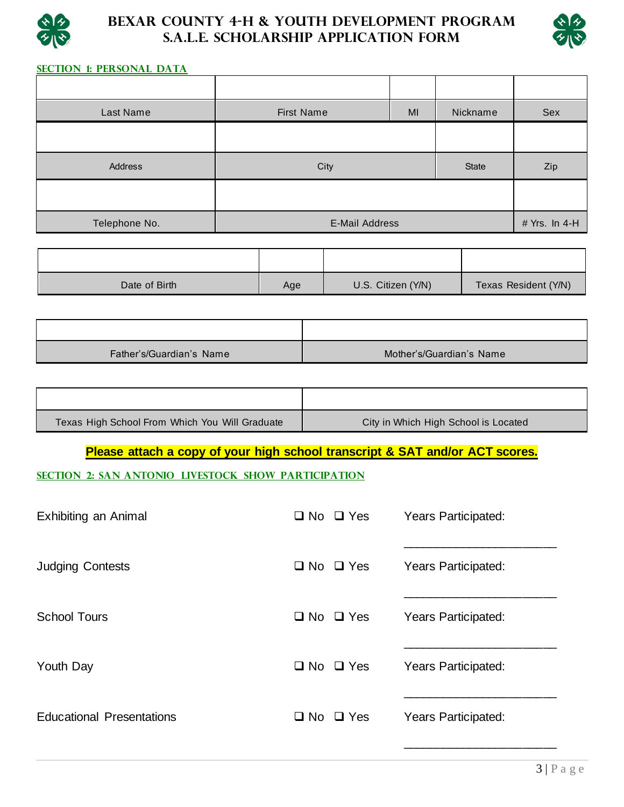

# **Bexar County 4-H & Youth Development Program S.A.L.E. Scholarship Application Form**



## **SECTION 1: Personal Data**

| Last Name     | <b>First Name</b><br>MI                |  | Nickname     | Sex |
|---------------|----------------------------------------|--|--------------|-----|
|               |                                        |  |              |     |
| Address       | City                                   |  | <b>State</b> | Zip |
|               |                                        |  |              |     |
| Telephone No. | # Yrs. In 4-H<br><b>E-Mail Address</b> |  |              |     |

| Date of Birth | Age | U.S. Citizen (Y/N) | Texas Resident (Y/N) |
|---------------|-----|--------------------|----------------------|

| Father's/Guardian's Name | Mother's/Guardian's Name |
|--------------------------|--------------------------|

| Texas High School From Which You Will Graduate | City in Which High School is Located |
|------------------------------------------------|--------------------------------------|

**Please attach a copy of your high school transcript & SAT and/or ACT scores.**

**SECTION 2: San Antonio Livestock Show Participation**

| $\Box$ No $\Box$ Yes | <b>Years Participated:</b> |
|----------------------|----------------------------|
| $\Box$ No $\Box$ Yes | <b>Years Participated:</b> |
| $\Box$ No $\Box$ Yes | <b>Years Participated:</b> |
| $\Box$ No $\Box$ Yes | Years Participated:        |
| $\Box$ No $\Box$ Yes | Years Participated:        |
|                      |                            |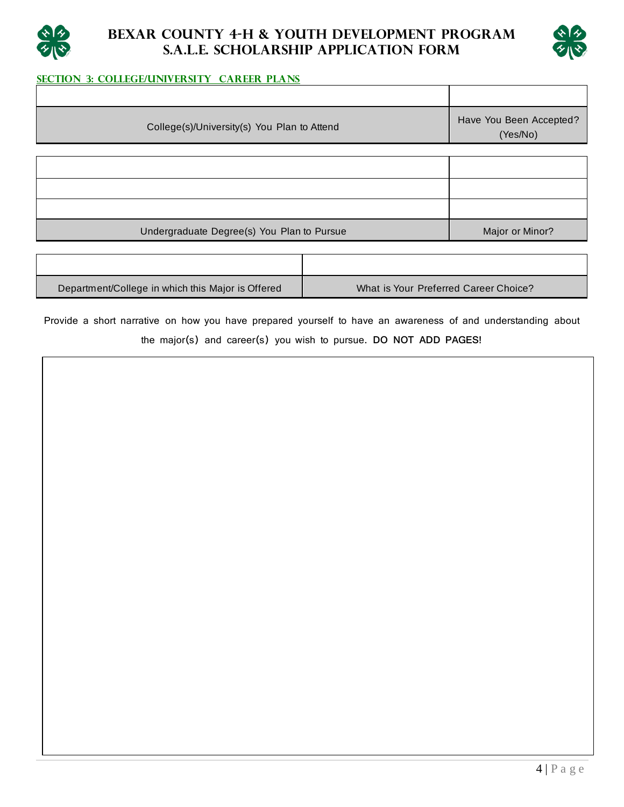



### **SECTION 3: College/University Career Plans**

| College(s)/University(s) You Plan to Attend | Have You Been Accepted?<br>(Yes/No) |
|---------------------------------------------|-------------------------------------|
|                                             |                                     |
|                                             |                                     |
|                                             |                                     |
|                                             |                                     |
| Undergraduate Degree(s) You Plan to Pursue  | Major or Minor?                     |
|                                             |                                     |

| Department/College in which this Major is Offered | What is Your Preferred Career Choice? |
|---------------------------------------------------|---------------------------------------|

Provide a short narrative on how you have prepared yourself to have an awareness of and understanding about the major(s) and career(s) you wish to pursue. **DO NOT ADD PAGES!**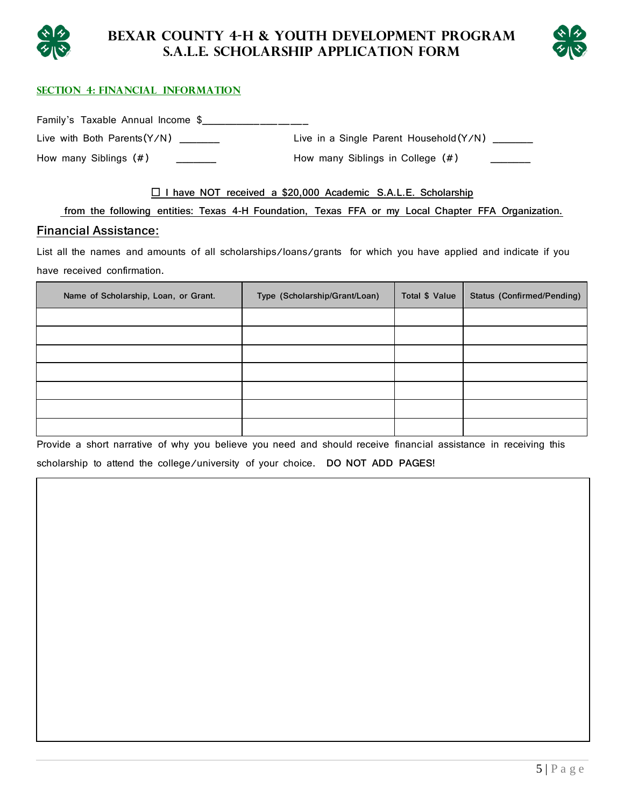



#### **Section 4: Financial Information**

Family's Taxable Annual Income \$\_\_\_\_\_\_\_\_\_\_\_\_\_\_\_\_\_

How many Siblings (#)  $\qquad \qquad$  How many Siblings in College (#)

Live with Both Parents(Y/N) \_\_\_\_\_\_\_\_ Live in a Single Parent Household(Y/N) \_\_\_\_\_\_

#### **I have NOT received a \$20,000 Academic S.A.L.E. Scholarship**

**from the following entities: Texas 4-H Foundation, Texas FFA or my Local Chapter FFA Organization. Financial Assistance:**

List all the names and amounts of all scholarships/loans/grants for which you have applied and indicate if you have received confirmation.

| Name of Scholarship, Loan, or Grant. | Type (Scholarship/Grant/Loan) | Total \$ Value | <b>Status (Confirmed/Pending)</b> |
|--------------------------------------|-------------------------------|----------------|-----------------------------------|
|                                      |                               |                |                                   |
|                                      |                               |                |                                   |
|                                      |                               |                |                                   |
|                                      |                               |                |                                   |
|                                      |                               |                |                                   |
|                                      |                               |                |                                   |
|                                      |                               |                |                                   |

Provide a short narrative of why you believe you need and should receive financial assistance in receiving this

scholarship to attend the college/university of your choice. **DO NOT ADD PAGES!**